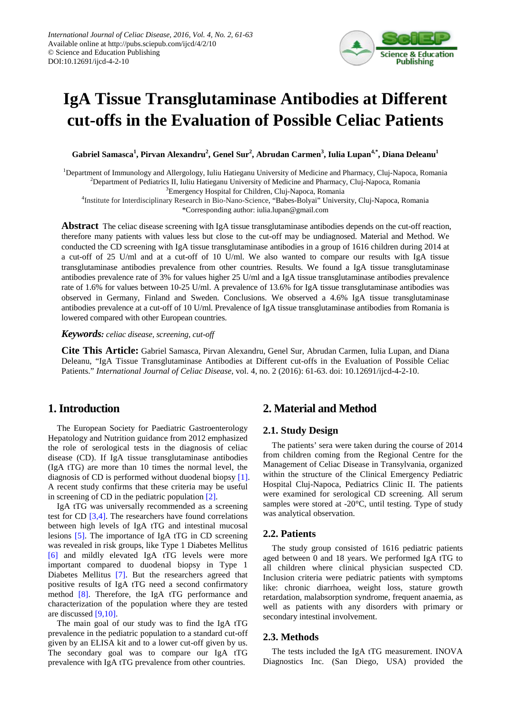

# **IgA Tissue Transglutaminase Antibodies at Different cut-offs in the Evaluation of Possible Celiac Patients**

 $\alpha^{4, *}, \beta^{1, *}, \beta^{1, *}, \beta^{2, *}, \beta^{2, *}, \beta^{2, *}, \beta^{2, *}, \beta^{2, *}, \beta^{2, *}, \beta^{2, *}, \beta^{2, *}, \beta^{2, *}, \beta^{2, *}, \beta^{2, *}, \beta^{2, *}, \beta^{2, *}, \beta^{2, *}, \beta^{2, *}, \beta^{2, *}, \beta^{2, *}, \beta^{2, *}, \beta^{2, *}, \beta^{2, *}, \beta^{2, *}, \beta^{2, *}, \beta^{2, *}, \beta^{2, *}, \beta^{2, *}, \beta^{2, *}, \beta^{2, *}, \beta^{2, *}, \beta^{2$ 

<sup>1</sup>Department of Immunology and Allergology, Iuliu Hatieganu University of Medicine and Pharmacy, Cluj-Napoca, Romania 2 Department of Pediatrics II, Iuliu Hatieganu University of Medicine and Pharmacy, Cluj-Napoca, Romania

<sup>3</sup> Emergency Hospital for Children, Cluj-Napoca, Romania

4 Institute for Interdisciplinary Research in Bio-Nano-Science, "Babes-Bolyai" University, Cluj-Napoca, Romania \*Corresponding author: iulia.lupan@gmail.com

**Abstract** The celiac disease screening with IgA tissue transglutaminase antibodies depends on the cut-off reaction, therefore many patients with values less but close to the cut-off may be undiagnosed. Material and Method. We conducted the CD screening with IgA tissue transglutaminase antibodies in a group of 1616 children during 2014 at a cut-off of 25 U/ml and at a cut-off of 10 U/ml. We also wanted to compare our results with IgA tissue transglutaminase antibodies prevalence from other countries. Results. We found a IgA tissue transglutaminase antibodies prevalence rate of 3% for values higher 25 U/ml and a IgA tissue transglutaminase antibodies prevalence rate of 1.6% for values between 10-25 U/ml. A prevalence of 13.6% for IgA tissue transglutaminase antibodies was observed in Germany, Finland and Sweden. Conclusions. We observed a 4.6% IgA tissue transglutaminase antibodies prevalence at a cut-off of 10 U/ml. Prevalence of IgA tissue transglutaminase antibodies from Romania is lowered compared with other European countries.

*Keywords: celiac disease, screening, cut-off*

**Cite This Article:** Gabriel Samasca, Pirvan Alexandru, Genel Sur, Abrudan Carmen, Iulia Lupan, and Diana Deleanu, "IgA Tissue Transglutaminase Antibodies at Different cut-offs in the Evaluation of Possible Celiac Patients." *International Journal of Celiac Disease*, vol. 4, no. 2 (2016): 61-63. doi: 10.12691/ijcd-4-2-10.

# **1. Introduction**

The European Society for Paediatric Gastroenterology Hepatology and Nutrition guidance from 2012 emphasized the role of serological tests in the diagnosis of celiac disease (CD). If IgA tissue transglutaminase antibodies (IgA tTG) are more than 10 times the normal level, the diagnosis of CD is performed without duodenal biopsy [\[1\].](#page-2-0) A recent study confirms that these criteria may be useful in screening of CD in the pediatric population [\[2\].](#page-2-1)

IgA tTG was universally recommended as a screening test for CD [\[3,4\].](#page-2-2) The researchers have found correlations between high levels of IgA tTG and intestinal mucosal lesions [\[5\].](#page-2-3) The importance of IgA tTG in CD screening was revealed in risk groups, like Type 1 Diabetes Mellitus [\[6\]](#page-2-4) and mildly elevated IgA tTG levels were more important compared to duodenal biopsy in Type 1 Diabetes Mellitus [\[7\].](#page-2-5) But the researchers agreed that positive results of IgA tTG need a second confirmatory method [\[8\].](#page-2-6) Therefore, the IgA tTG performance and characterization of the population where they are tested are discussed [\[9,10\].](#page-2-7)

The main goal of our study was to find the IgA tTG prevalence in the pediatric population to a standard cut-off given by an ELISA kit and to a lower cut-off given by us. The secondary goal was to compare our IgA tTG prevalence with IgA tTG prevalence from other countries.

# **2. Material and Method**

#### **2.1. Study Design**

The patients' sera were taken during the course of 2014 from children coming from the Regional Centre for the Management of Celiac Disease in Transylvania, organized within the structure of the Clinical Emergency Pediatric Hospital Cluj-Napoca, Pediatrics Clinic II. The patients were examined for serological CD screening. All serum samples were stored at -20°C, until testing. Type of study was analytical observation.

## **2.2. Patients**

The study group consisted of 1616 pediatric patients aged between 0 and 18 years. We performed IgA tTG to all children where clinical physician suspected CD. Inclusion criteria were pediatric patients with symptoms like: chronic diarrhoea, weight loss, stature growth retardation, malabsorption syndrome, frequent anaemia, as well as patients with any disorders with primary or secondary intestinal involvement.

#### **2.3. Methods**

The tests included the IgA tTG measurement. INOVA Diagnostics Inc. (San Diego, USA) provided the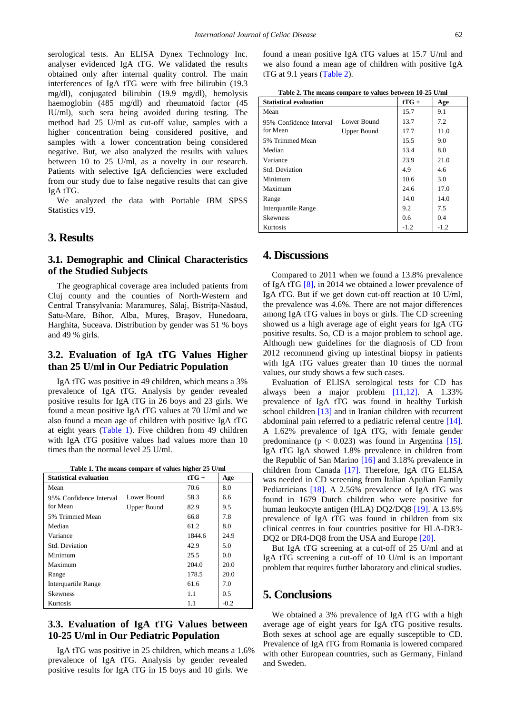serological tests. An ELISA Dynex Technology Inc. analyser evidenced IgA tTG. We validated the results obtained only after internal quality control. The main interferences of IgA tTG were with free bilirubin (19.3 mg/dl), conjugated bilirubin (19.9 mg/dl), hemolysis haemoglobin (485 mg/dl) and rheumatoid factor (45 IU/ml), such sera being avoided during testing. The method had 25 U/ml as cut-off value, samples with a higher concentration being considered positive, and samples with a lower concentration being considered negative. But, we also analyzed the results with values between 10 to 25 U/ml, as a novelty in our research. Patients with selective IgA deficiencies were excluded from our study due to false negative results that can give IgA tTG.

We analyzed the data with Portable IBM SPSS Statistics v<sub>19</sub>.

## **3. Results**

### **3.1. Demographic and Clinical Characteristics of the Studied Subjects**

The geographical coverage area included patients from Cluj county and the counties of North-Western and Central Transylvania: Maramureş, Sălaj, Bistriţa-Năsăud, Satu-Mare, Bihor, Alba, Mureş, Braşov, Hunedoara, Harghita, Suceava. Distribution by gender was 51 % boys and 49 % girls.

### **3.2. Evaluation of IgA tTG Values Higher than 25 U/ml in Our Pediatric Population**

IgA tTG was positive in 49 children, which means a 3% prevalence of IgA tTG. Analysis by gender revealed positive results for IgA tTG in 26 boys and 23 girls. We found a mean positive IgA tTG values at 70 U/ml and we also found a mean age of children with positive IgA tTG at eight years [\(Table 1\)](#page-1-0). Five children from 49 children with IgA tTG positive values had values more than 10 times than the normal level 25 U/ml.

| Table 1. The means compare of values higher 25 U/ml |  |  |  |
|-----------------------------------------------------|--|--|--|
|                                                     |  |  |  |

<span id="page-1-0"></span>

| <b>Statistical evaluation</b> |             | $tTG +$ | Age    |
|-------------------------------|-------------|---------|--------|
| Mean                          |             | 70.6    | 8.0    |
| 95% Confidence Interval       | Lower Bound | 58.3    | 6.6    |
| for Mean                      | Upper Bound | 82.9    | 9.5    |
| 5% Trimmed Mean               |             | 66.8    | 7.8    |
| Median                        |             | 61.2    | 8.0    |
| Variance                      |             | 1844.6  | 24.9   |
| Std. Deviation                |             | 42.9    | 5.0    |
| Minimum                       |             | 25.5    | 0.0    |
| Maximum                       |             | 204.0   | 20.0   |
| Range                         |             | 178.5   | 20.0   |
| <b>Interquartile Range</b>    |             | 61.6    | 7.0    |
| <b>Skewness</b>               |             | 1.1     | 0.5    |
| Kurtosis                      |             | 1.1     | $-0.2$ |

#### **3.3. Evaluation of IgA tTG Values between 10-25 U/ml in Our Pediatric Population**

IgA tTG was positive in 25 children, which means a 1.6% prevalence of IgA tTG. Analysis by gender revealed positive results for IgA tTG in 15 boys and 10 girls. We

found a mean positive IgA tTG values at 15.7 U/ml and we also found a mean age of children with positive IgA tTG at 9.1 years [\(Table 2\)](#page-1-1).

| Table 2. The means compare to values between 10-25 U/ml |  |
|---------------------------------------------------------|--|
|                                                         |  |

<span id="page-1-1"></span>

| <b>Statistical evaluation</b> |             | $tTG +$ | Age    |
|-------------------------------|-------------|---------|--------|
| Mean                          |             | 15.7    | 9.1    |
| 95% Confidence Interval       | Lower Bound | 13.7    | 7.2    |
| for Mean                      | Upper Bound | 17.7    | 11.0   |
| 5% Trimmed Mean               |             | 15.5    | 9.0    |
| Median                        |             | 13.4    | 8.0    |
| Variance                      |             | 23.9    | 21.0   |
| Std. Deviation                |             | 4.9     | 4.6    |
| Minimum                       |             | 10.6    | 3.0    |
| Maximum                       |             | 24.6    | 17.0   |
| Range                         |             | 14.0    | 14.0   |
| <b>Interquartile Range</b>    |             | 9.2     | 7.5    |
| <b>Skewness</b>               |             | 0.6     | 0.4    |
| Kurtosis                      |             | $-1.2$  | $-1.2$ |

## **4. Discussions**

Compared to 2011 when we found a 13.8% prevalence of IgA tTG [\[8\],](#page-2-6) in 2014 we obtained a lower prevalence of IgA tTG. But if we get down cut-off reaction at 10 U/ml, the prevalence was 4.6%. There are not major differences among IgA tTG values in boys or girls. The CD screening showed us a high average age of eight years for IgA tTG positive results. So, CD is a major problem to school age. Although new guidelines for the diagnosis of CD from 2012 recommend giving up intestinal biopsy in patients with IgA tTG values greater than 10 times the normal values, our study shows a few such cases.

Evaluation of ELISA serological tests for CD has always been a major problem [\[11,12\].](#page-2-8) A 1.33% prevalence of IgA tTG was found in healthy Turkish school children [\[13\]](#page-2-9) and in Iranian children with recurrent abdominal pain referred to a pediatric referral centre [\[14\].](#page-2-10) A 1.62% prevalence of IgA tTG, with female gender predominance ( $p < 0.023$ ) was found in Argentina [\[15\].](#page-2-11) IgA tTG IgA showed 1.8% prevalence in children from the Republic of San Marino [\[16\]](#page-2-12) and 3.18% prevalence in children from Canada [\[17\].](#page-2-13) Therefore, IgA tTG ELISA was needed in CD screening from Italian Apulian Family Pediatricians [\[18\].](#page-2-14) A 2.56% prevalence of IgA tTG was found in 1679 Dutch children who were positive for human leukocyte antigen (HLA) DQ2/DQ8 [\[19\].](#page-2-15) A 13.6% prevalence of IgA tTG was found in children from six clinical centres in four countries positive for HLA-DR3 DQ2 or DR4-DQ8 from the USA and Europ[e \[20\].](#page-2-16)

But IgA tTG screening at a cut-off of 25 U/ml and at IgA tTG screening a cut-off of 10 U/ml is an important problem that requires further laboratory and clinical studies.

#### **5. Conclusions**

We obtained a 3% prevalence of IgA tTG with a high average age of eight years for IgA tTG positive results. Both sexes at school age are equally susceptible to CD. Prevalence of IgA tTG from Romania is lowered compared with other European countries, such as Germany, Finland and Sweden.